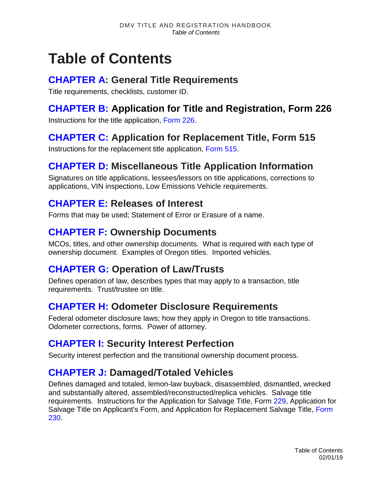# **Table of Contents**

#### **[CHAPTER A:](https://www.oregon.gov/ODOT/DMV/docs/VTRH/Chapter_A.pdf) General Title Requirements**

Title requirements, checklists, customer ID.

# **[CHAPTER B:](https://www.oregon.gov/ODOT/DMV/docs/VTRH/Chapter_B.pdf) Application for Title and Registration, Form 226**

Instructions for the title application, [Form 226.](https://www.odot.state.or.us/forms/dmv/226fill.pdf)

# **[CHAPTER C:](https://www.oregon.gov/ODOT/DMV/docs/VTRH/Chapter_C.pdf) Application for Replacement Title, Form 515**

Instructions for the replacement title application, [Form 515.](https://www.odot.state.or.us/forms/dmv/515fill.pdf)

# **[CHAPTER D:](https://www.oregon.gov/ODOT/DMV/docs/VTRH/Chapter_D.pdf) Miscellaneous Title Application Information**

Signatures on title applications, lessees/lessors on title applications, corrections to applications, VIN inspections, Low Emissions Vehicle requirements.

#### **[CHAPTER E:](https://www.oregon.gov/ODOT/DMV/docs/VTRH/Chapter_E.pdf) Releases of Interest**

Forms that may be used; Statement of Error or Erasure of a name.

## **[CHAPTER F:](https://www.oregon.gov/ODOT/DMV/docs/VTRH/Chapter_F.pdf) Ownership Documents**

MCOs, titles, and other ownership documents. What is required with each type of ownership document. Examples of Oregon titles. Imported vehicles.

# **[CHAPTER G:](https://www.oregon.gov/ODOT/DMV/docs/VTRH/Chapter_G.pdf) Operation of Law/Trusts**

Defines operation of law, describes types that may apply to a transaction, title requirements. Trust/trustee on title.

# **[CHAPTER H:](https://www.oregon.gov/ODOT/DMV/docs/VTRH/Chapter_H.pdf) Odometer Disclosure Requirements**

Federal odometer disclosure laws; how they apply in Oregon to title transactions. Odometer corrections, forms. Power of attorney.

# **[CHAPTER I:](https://www.oregon.gov/ODOT/DMV/docs/VTRH/Chapter_I.pdf) Security Interest Perfection**

Security interest perfection and the transitional ownership document process.

# **[CHAPTER J:](https://www.oregon.gov/ODOT/DMV/docs/VTRH/Chapter_J.pdf) Damaged/Totaled Vehicles**

Defines damaged and totaled, lemon-law buyback, disassembled, dismantled, wrecked and substantially altered, assembled/reconstructed/replica vehicles. Salvage title requirements. Instructions for the Application for Salvage Title, Form [229,](https://www.odot.state.or.us/forms/dmv/229fill.pdf) Application for Salvage Title on Applicant's Form, and Application for Replacement Salvage Title, Form [230.](https://www.odot.state.or.us/forms/dmv/230.pdf)